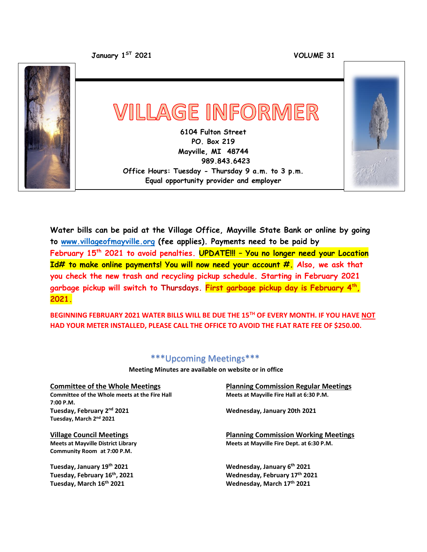**January 1**

**ST 2021 VOLUME 31**



**Water bills can be paid at the Village Office, Mayville State Bank or online by going to [www.villageofmayville.org](http://www.villageofmayville.org/) (fee applies). Payments need to be paid by February 15th 2021 to avoid penalties. UPDATE!!! – You no longer need your Location Id# to make online payments! You will now need your account #. Also, we ask that you check the new trash and recycling pickup schedule. Starting in February 2021 garbage pickup will switch to Thursdays. First garbage pickup day is February 4th , 2021.**

**BEGINNING FEBRUARY 2021 WATER BILLS WILL BE DUE THE 15TH OF EVERY MONTH. IF YOU HAVE NOT HAD YOUR METER INSTALLED, PLEASE CALL THE OFFICE TO AVOID THE FLAT RATE FEE OF \$250.00.**

### \*\*\*Upcoming Meetings\*\*\*

 **Meeting Minutes are available on website or in office**

 $\overline{\text{Committee}}$  of the Whole meets at the Fire Hall **7:00 P.M. Tuesday, February 2 Tuesday, March 2 nd 2021**

**Community Room at 7:00 P.M.**

**Tuesday, January 19<sup>th</sup> 2021 Tuesday, February 16th Tuesday, March 16**

**Committee of the Whole Meetings**<br> **Committee of the Whole meets at the Fire Hall**<br> **Reets at Mayville Fire Hall at 6:30 P.M.** 

**nd 2021 Wednesday, January 20th 2021**

**Village Council Meetings Planning Commission Working Meetings Meets at Mayville District Library Meets at Mayville Fire Dept. at 6:30 P.M.**

> Wednesday, January 6<sup>th</sup> 2021 **, 2021 Wednesday, February 17th 2021 th 2021 Wednesday, March 17th 2021**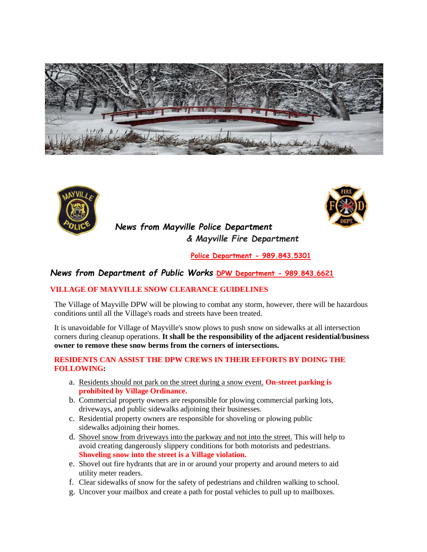



## *News from Mayville Police Department & Mayville Fire Department*



**Police Department - 989.843.5301**

### *News from Department of Public Works* **DPW Department - 989.843.6621**

#### **VILLAGE OF MAYVILLE SNOW CLEARANCE GUIDELINES**

The Village of Mayville DPW will be plowing to combat any storm, however, there will be hazardous conditions until all the Village's roads and streets have been treated.

It is unavoidable for Village of Mayville's snow plows to push snow on sidewalks at all intersection corners during cleanup operations. **It shall be the responsibility of the adjacent residential/business owner to remove these snow berms from the corners of intersections.**

#### **RESIDENTS CAN ASSIST THE DPW CREWS IN THEIR EFFORTS BY DOING THE FOLLOWING:**

- a. Residents should not park on the street during a snow event. **On-street parking is prohibited by Village Ordinance.**
- b. Commercial property owners are responsible for plowing commercial parking lots, driveways, and public sidewalks adjoining their businesses.
- c. Residential property owners are responsible for shoveling or plowing public sidewalks adjoining their homes.
- d. Shovel snow from driveways into the parkway and not into the street. This will help to avoid creating dangerously slippery conditions for both motorists and pedestrians. **Shoveling snow into the street is a Village violation.**
- e. Shovel out fire hydrants that are in or around your property and around meters to aid utility meter readers.
- f. Clear sidewalks of snow for the safety of pedestrians and children walking to school.
- g. Uncover your mailbox and create a path for postal vehicles to pull up to mailboxes.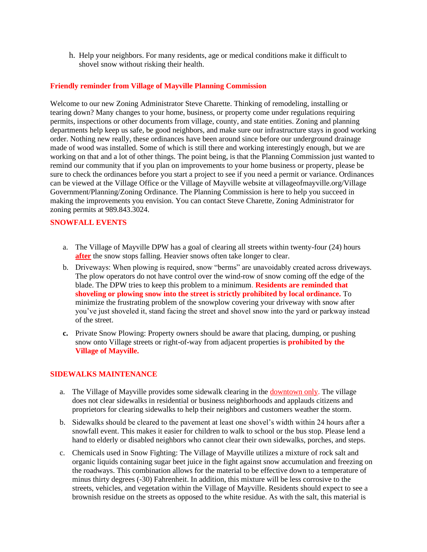h. Help your neighbors. For many residents, age or medical conditions make it difficult to shovel snow without risking their health.

#### **Friendly reminder from Village of Mayville Planning Commission**

Welcome to our new Zoning Administrator Steve Charette. Thinking of remodeling, installing or tearing down? Many changes to your home, business, or property come under regulations requiring permits, inspections or other documents from village, county, and state entities. Zoning and planning departments help keep us safe, be good neighbors, and make sure our infrastructure stays in good working order. Nothing new really, these ordinances have been around since before our underground drainage made of wood was installed. Some of which is still there and working interestingly enough, but we are working on that and a lot of other things. The point being, is that the Planning Commission just wanted to remind our community that if you plan on improvements to your home business or property, please be sure to check the ordinances before you start a project to see if you need a permit or variance. Ordinances can be viewed at the Village Office or the Village of Mayville website at villageofmayville.org/Village Government/Planning/Zoning Ordinance. The Planning Commission is here to help you succeed in making the improvements you envision. You can contact Steve Charette, Zoning Administrator for zoning permits at 989.843.3024.

#### **SNOWFALL EVENTS**

- a. The Village of Mayville DPW has a goal of clearing all streets within twenty-four (24) hours **after** the snow stops falling. Heavier snows often take longer to clear.
- b. Driveways: When plowing is required, snow "berms" are unavoidably created across driveways. The plow operators do not have control over the wind-row of snow coming off the edge of the blade. The DPW tries to keep this problem to a minimum. **Residents are reminded that shoveling or plowing snow into the street is strictly prohibited by local ordinance.** To minimize the frustrating problem of the snowplow covering your driveway with snow after you've just shoveled it, stand facing the street and shovel snow into the yard or parkway instead of the street.
- **c.** Private Snow Plowing: Property owners should be aware that placing, dumping, or pushing snow onto Village streets or right-of-way from adjacent properties is **prohibited by the Village of Mayville.**

#### **SIDEWALKS MAINTENANCE**

- a. The Village of Mayville provides some sidewalk clearing in the downtown only. The village does not clear sidewalks in residential or business neighborhoods and applauds citizens and proprietors for clearing sidewalks to help their neighbors and customers weather the storm.
- b. Sidewalks should be cleared to the pavement at least one shovel's width within 24 hours after a snowfall event. This makes it easier for children to walk to school or the bus stop. Please lend a hand to elderly or disabled neighbors who cannot clear their own sidewalks, porches, and steps.
- c. Chemicals used in Snow Fighting: The Village of Mayville utilizes a mixture of rock salt and organic liquids containing sugar beet juice in the fight against snow accumulation and freezing on the roadways. This combination allows for the material to be effective down to a temperature of minus thirty degrees (-30) Fahrenheit. In addition, this mixture will be less corrosive to the streets, vehicles, and vegetation within the Village of Mayville. Residents should expect to see a brownish residue on the streets as opposed to the white residue. As with the salt, this material is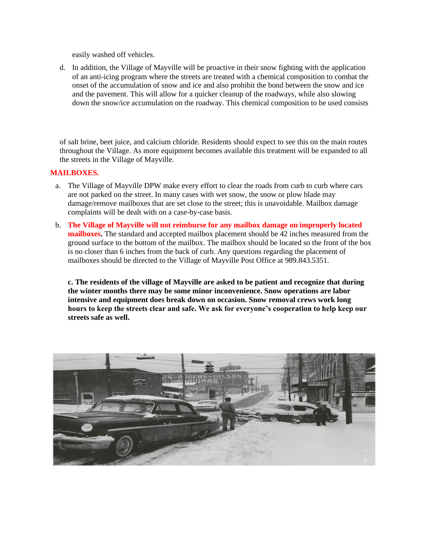easily washed off vehicles.

d. In addition, the Village of Mayville will be proactive in their snow fighting with the application of an anti-icing program where the streets are treated with a chemical composition to combat the onset of the accumulation of snow and ice and also prohibit the bond between the snow and ice and the pavement. This will allow for a quicker cleanup of the roadways, while also slowing down the snow/ice accumulation on the roadway. This chemical composition to be used consists

of salt brine, beet juice, and calcium chloride. Residents should expect to see this on the main routes throughout the Village. As more equipment becomes available this treatment will be expanded to all the streets in the Village of Mayville.

#### **MAILBOXES.**

- a. The Village of Mayville DPW make every effort to clear the roads from curb to curb where cars are not parked on the street. In many cases with wet snow, the snow or plow blade may damage/remove mailboxes that are set close to the street; this is unavoidable. Mailbox damage complaints will be dealt with on a case-by-case basis.
- b. **The Village of Mayville will not reimburse for any mailbox damage on improperly located mailboxes.** The standard and accepted mailbox placement should be 42 inches measured from the ground surface to the bottom of the mailbox. The mailbox should be located so the front of the box is no closer than 6 inches from the back of curb. Any questions regarding the placement of mailboxes should be directed to the Village of Mayville Post Office at 989.843.5351.

**c. The residents of the village of Mayville are asked to be patient and recognize that during the winter months there may be some minor inconvenience. Snow operations are labor intensive and equipment does break down on occasion. Snow removal crews work long hours to keep the streets clear and safe. We ask for everyone's cooperation to help keep our streets safe as well.**